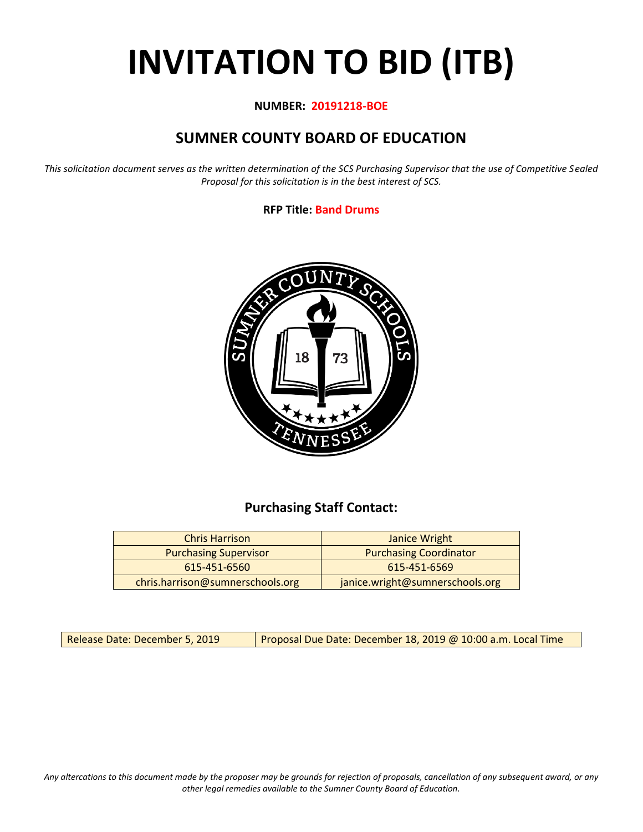# **INVITATION TO BID (ITB)**

#### **NUMBER: 20191218-BOE**

# **SUMNER COUNTY BOARD OF EDUCATION**

*This solicitation document serves as the written determination of the SCS Purchasing Supervisor that the use of Competitive Sealed Proposal for this solicitation is in the best interest of SCS.*

#### **RFP Title: Band Drums**



## **Purchasing Staff Contact:**

| <b>Chris Harrison</b>            | Janice Wright                   |
|----------------------------------|---------------------------------|
| <b>Purchasing Supervisor</b>     | <b>Purchasing Coordinator</b>   |
| 615-451-6560                     | 615-451-6569                    |
| chris.harrison@sumnerschools.org | janice.wright@sumnerschools.org |

Release Date: December 5, 2019 | Proposal Due Date: December 18, 2019 @ 10:00 a.m. Local Time

*Any altercations to this document made by the proposer may be grounds for rejection of proposals, cancellation of any subsequent award, or any other legal remedies available to the Sumner County Board of Education.*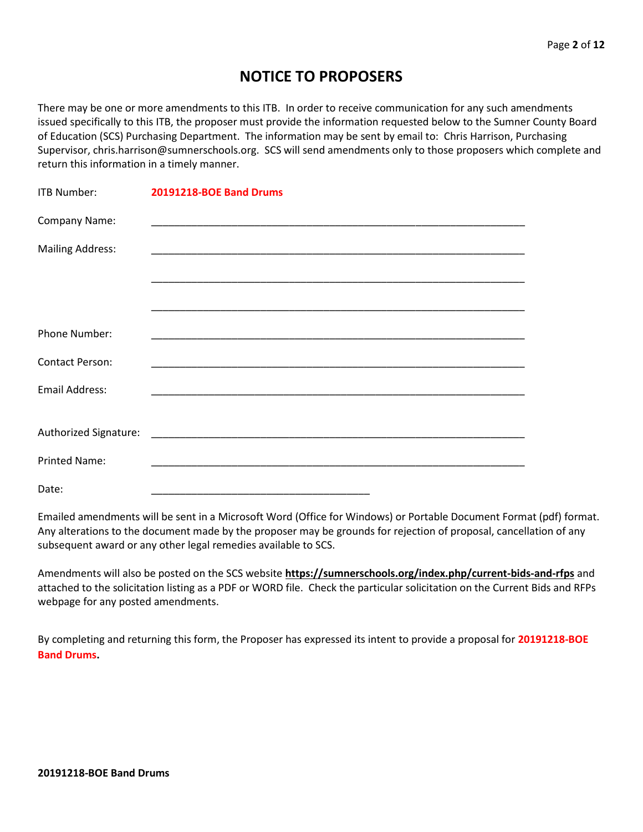## **NOTICE TO PROPOSERS**

There may be one or more amendments to this ITB. In order to receive communication for any such amendments issued specifically to this ITB, the proposer must provide the information requested below to the Sumner County Board of Education (SCS) Purchasing Department. The information may be sent by email to: Chris Harrison, Purchasing Supervisor, chris.harrison@sumnerschools.org. SCS will send amendments only to those proposers which complete and return this information in a timely manner.

| <b>ITB Number:</b>      | <b>20191218-BOE Band Drums</b>                                                                                       |
|-------------------------|----------------------------------------------------------------------------------------------------------------------|
| Company Name:           |                                                                                                                      |
| <b>Mailing Address:</b> |                                                                                                                      |
|                         |                                                                                                                      |
|                         |                                                                                                                      |
| <b>Phone Number:</b>    |                                                                                                                      |
| <b>Contact Person:</b>  |                                                                                                                      |
| <b>Email Address:</b>   |                                                                                                                      |
|                         |                                                                                                                      |
|                         |                                                                                                                      |
| <b>Printed Name:</b>    | <u> 1980 - Jan James James Barnett, amerikan bestean ingilang di sebagai pertama di sebagai pertama di sebagai p</u> |
| Date:                   |                                                                                                                      |

Emailed amendments will be sent in a Microsoft Word (Office for Windows) or Portable Document Format (pdf) format. Any alterations to the document made by the proposer may be grounds for rejection of proposal, cancellation of any subsequent award or any other legal remedies available to SCS.

Amendments will also be posted on the SCS website **https://sumnerschools.org/index.php/current-bids-and-rfps** and attached to the solicitation listing as a PDF or WORD file. Check the particular solicitation on the Current Bids and RFPs webpage for any posted amendments.

By completing and returning this form, the Proposer has expressed its intent to provide a proposal for **20191218-BOE Band Drums.**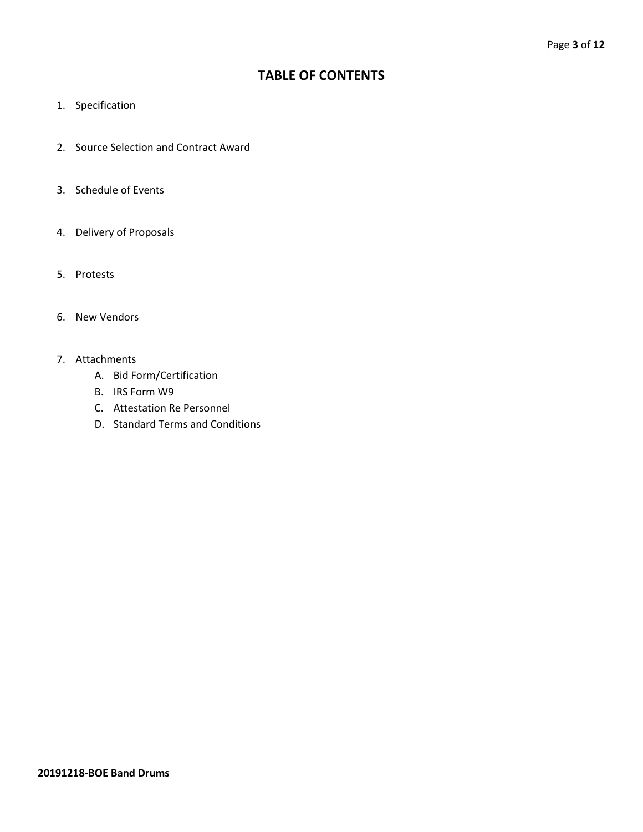### **TABLE OF CONTENTS**

- 1. Specification
- 2. Source Selection and Contract Award
- 3. Schedule of Events
- 4. Delivery of Proposals
- 5. Protests
- 6. New Vendors
- 7. Attachments
	- A. Bid Form/Certification
	- B. IRS Form W9
	- C. Attestation Re Personnel
	- D. Standard Terms and Conditions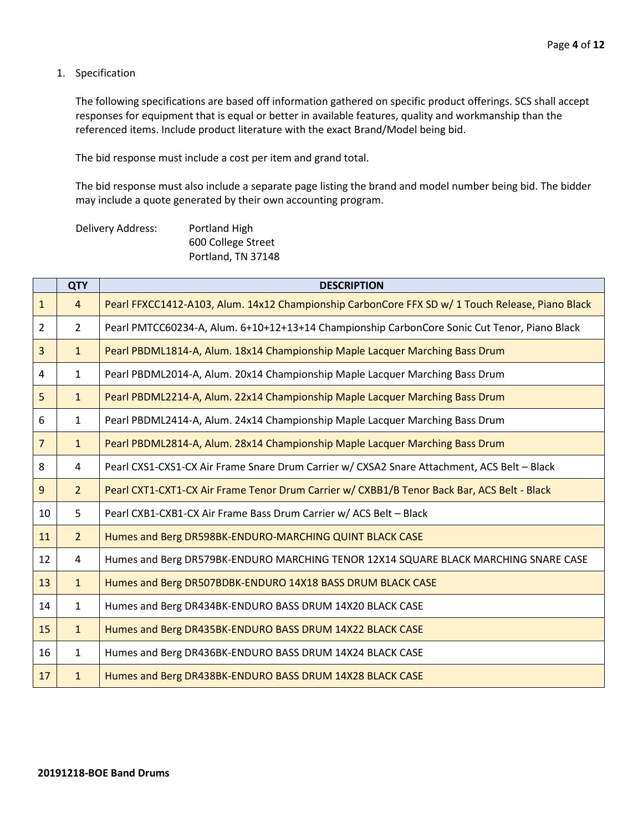1. Specification

The following specifications are based off information gathered on specific product offerings. SCS shall accept responses for equipment that is equal or better in available features, quality and workmanship than the referenced items. Include product literature with the exact Brand/Model being bid.

The bid response must include a cost per item and grand total.

The bid response must also include a separate page listing the brand and model number being bid. The bidder may include a quote generated by their own accounting program.

| Delivery Address: | Portland High      |
|-------------------|--------------------|
|                   | 600 College Street |
|                   | Portland, TN 37148 |

|                | <b>QTY</b>     | <b>DESCRIPTION</b>                                                                              |  |  |  |
|----------------|----------------|-------------------------------------------------------------------------------------------------|--|--|--|
| $\mathbf{1}$   | $\overline{4}$ | Pearl FFXCC1412-A103, Alum. 14x12 Championship CarbonCore FFX SD w/1 Touch Release, Piano Black |  |  |  |
| $\overline{2}$ | $\overline{2}$ | Pearl PMTCC60234-A, Alum. 6+10+12+13+14 Championship CarbonCore Sonic Cut Tenor, Piano Black    |  |  |  |
| $\overline{3}$ | $\mathbf{1}$   | Pearl PBDML1814-A, Alum. 18x14 Championship Maple Lacquer Marching Bass Drum                    |  |  |  |
| 4              | $\mathbf{1}$   | Pearl PBDML2014-A, Alum. 20x14 Championship Maple Lacquer Marching Bass Drum                    |  |  |  |
| 5              | $\mathbf{1}$   | Pearl PBDML2214-A, Alum. 22x14 Championship Maple Lacquer Marching Bass Drum                    |  |  |  |
| 6              | $\mathbf{1}$   | Pearl PBDML2414-A, Alum. 24x14 Championship Maple Lacquer Marching Bass Drum                    |  |  |  |
| $\overline{7}$ | $\mathbf{1}$   | Pearl PBDML2814-A, Alum. 28x14 Championship Maple Lacquer Marching Bass Drum                    |  |  |  |
| 8              | 4              | Pearl CXS1-CXS1-CX Air Frame Snare Drum Carrier w/ CXSA2 Snare Attachment, ACS Belt - Black     |  |  |  |
| 9              | 2 <sup>1</sup> | Pearl CXT1-CXT1-CX Air Frame Tenor Drum Carrier w/ CXBB1/B Tenor Back Bar, ACS Belt - Black     |  |  |  |
| 10             | 5              | Pearl CXB1-CXB1-CX Air Frame Bass Drum Carrier w/ ACS Belt - Black                              |  |  |  |
| 11             | 2 <sup>1</sup> | Humes and Berg DR598BK-ENDURO-MARCHING QUINT BLACK CASE                                         |  |  |  |
| 12             | $\overline{4}$ | Humes and Berg DR579BK-ENDURO MARCHING TENOR 12X14 SQUARE BLACK MARCHING SNARE CASE             |  |  |  |
| 13             | 1              | Humes and Berg DR507BDBK-ENDURO 14X18 BASS DRUM BLACK CASE                                      |  |  |  |
| 14             | $\mathbf{1}$   | Humes and Berg DR434BK-ENDURO BASS DRUM 14X20 BLACK CASE                                        |  |  |  |
| 15             | $\mathbf{1}$   | Humes and Berg DR435BK-ENDURO BASS DRUM 14X22 BLACK CASE                                        |  |  |  |
| 16             | $\mathbf{1}$   | Humes and Berg DR436BK-ENDURO BASS DRUM 14X24 BLACK CASE                                        |  |  |  |
| 17             | $\mathbf{1}$   | Humes and Berg DR438BK-ENDURO BASS DRUM 14X28 BLACK CASE                                        |  |  |  |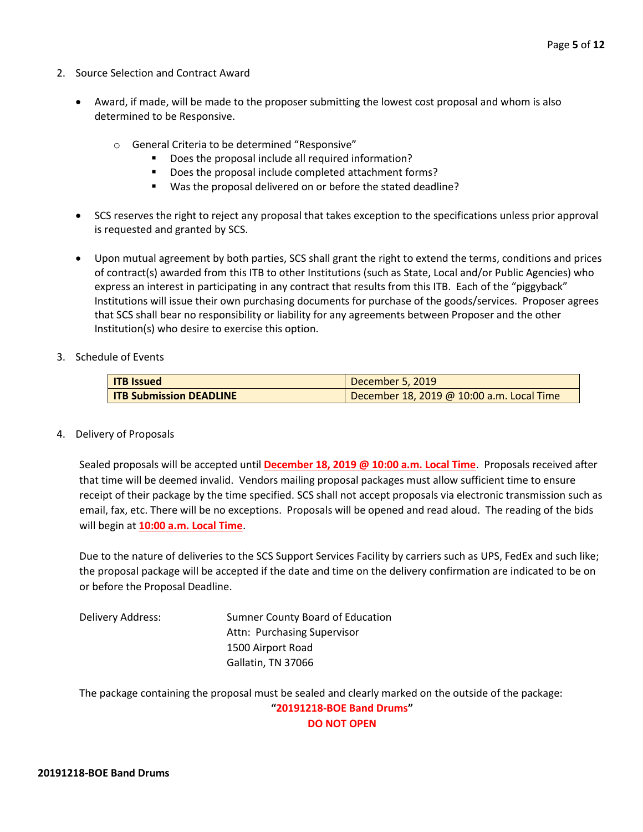- 2. Source Selection and Contract Award
	- Award, if made, will be made to the proposer submitting the lowest cost proposal and whom is also determined to be Responsive.
		- o General Criteria to be determined "Responsive"
			- Does the proposal include all required information?
			- Does the proposal include completed attachment forms?
			- Was the proposal delivered on or before the stated deadline?
	- SCS reserves the right to reject any proposal that takes exception to the specifications unless prior approval is requested and granted by SCS.
	- Upon mutual agreement by both parties, SCS shall grant the right to extend the terms, conditions and prices of contract(s) awarded from this ITB to other Institutions (such as State, Local and/or Public Agencies) who express an interest in participating in any contract that results from this ITB. Each of the "piggyback" Institutions will issue their own purchasing documents for purchase of the goods/services. Proposer agrees that SCS shall bear no responsibility or liability for any agreements between Proposer and the other Institution(s) who desire to exercise this option.
- 3. Schedule of Events

| <b>ITB</b> Issued              | December 5, 2019                          |
|--------------------------------|-------------------------------------------|
| <b>ITB Submission DEADLINE</b> | December 18, 2019 @ 10:00 a.m. Local Time |

4. Delivery of Proposals

Sealed proposals will be accepted until **December 18, 2019 @ 10:00 a.m. Local Time**. Proposals received after that time will be deemed invalid. Vendors mailing proposal packages must allow sufficient time to ensure receipt of their package by the time specified. SCS shall not accept proposals via electronic transmission such as email, fax, etc. There will be no exceptions. Proposals will be opened and read aloud. The reading of the bids will begin at **10:00 a.m. Local Time**.

Due to the nature of deliveries to the SCS Support Services Facility by carriers such as UPS, FedEx and such like; the proposal package will be accepted if the date and time on the delivery confirmation are indicated to be on or before the Proposal Deadline.

Delivery Address: Sumner County Board of Education Attn: Purchasing Supervisor 1500 Airport Road Gallatin, TN 37066

The package containing the proposal must be sealed and clearly marked on the outside of the package: **"20191218-BOE Band Drums"**

**DO NOT OPEN**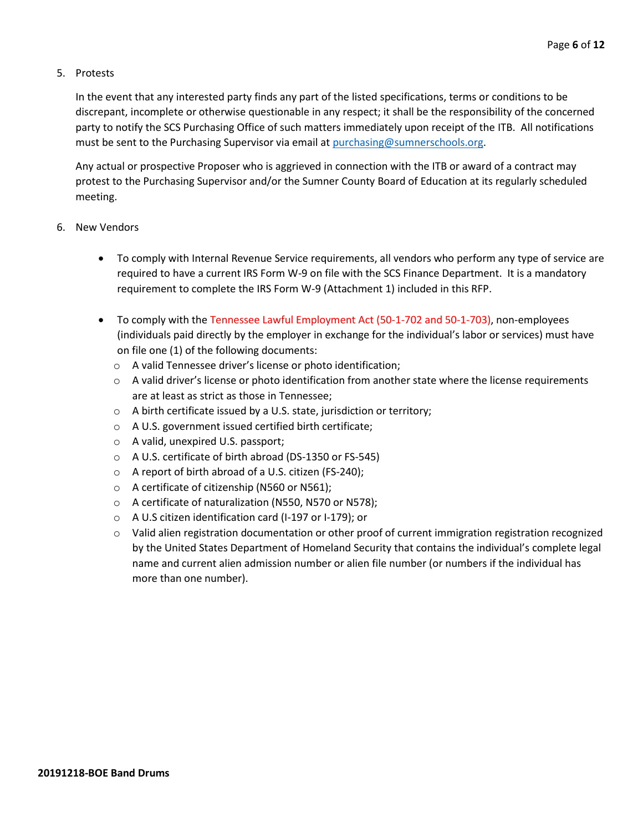#### 5. Protests

In the event that any interested party finds any part of the listed specifications, terms or conditions to be discrepant, incomplete or otherwise questionable in any respect; it shall be the responsibility of the concerned party to notify the SCS Purchasing Office of such matters immediately upon receipt of the ITB. All notifications must be sent to the Purchasing Supervisor via email at [purchasing@sumnerschools.org.](mailto:purchasing@sumnerschools.org)

Any actual or prospective Proposer who is aggrieved in connection with the ITB or award of a contract may protest to the Purchasing Supervisor and/or the Sumner County Board of Education at its regularly scheduled meeting.

#### 6. New Vendors

- To comply with Internal Revenue Service requirements, all vendors who perform any type of service are required to have a current IRS Form W-9 on file with the SCS Finance Department. It is a mandatory requirement to complete the IRS Form W-9 (Attachment 1) included in this RFP.
- To comply with the Tennessee Lawful Employment Act (50-1-702 and 50-1-703), non-employees (individuals paid directly by the employer in exchange for the individual's labor or services) must have on file one (1) of the following documents:
	- o A valid Tennessee driver's license or photo identification;
	- $\circ$  A valid driver's license or photo identification from another state where the license requirements are at least as strict as those in Tennessee;
	- o A birth certificate issued by a U.S. state, jurisdiction or territory;
	- o A U.S. government issued certified birth certificate;
	- o A valid, unexpired U.S. passport;
	- o A U.S. certificate of birth abroad (DS-1350 or FS-545)
	- o A report of birth abroad of a U.S. citizen (FS-240);
	- o A certificate of citizenship (N560 or N561);
	- o A certificate of naturalization (N550, N570 or N578);
	- o A U.S citizen identification card (I-197 or I-179); or
	- $\circ$  Valid alien registration documentation or other proof of current immigration registration recognized by the United States Department of Homeland Security that contains the individual's complete legal name and current alien admission number or alien file number (or numbers if the individual has more than one number).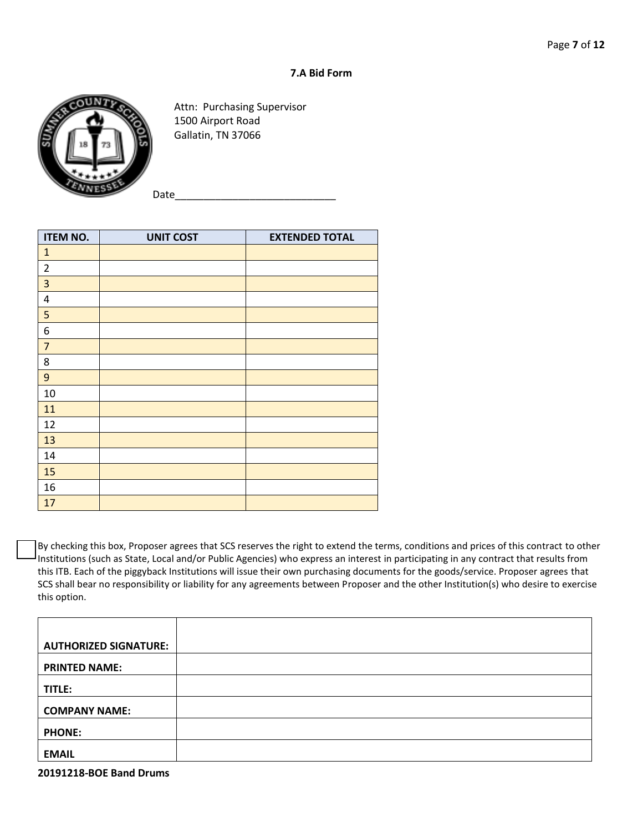#### **7.A Bid Form**



Attn: Purchasing Supervisor 1500 Airport Road Gallatin, TN 37066

Date

| <b>ITEM NO.</b>         | <b>UNIT COST</b> | <b>EXTENDED TOTAL</b> |  |  |
|-------------------------|------------------|-----------------------|--|--|
| $\mathbf{1}$            |                  |                       |  |  |
| $\overline{2}$          |                  |                       |  |  |
| $\overline{\mathbf{3}}$ |                  |                       |  |  |
| 4                       |                  |                       |  |  |
| 5                       |                  |                       |  |  |
| 6                       |                  |                       |  |  |
| $\overline{7}$          |                  |                       |  |  |
| 8                       |                  |                       |  |  |
| 9                       |                  |                       |  |  |
| 10                      |                  |                       |  |  |
| 11                      |                  |                       |  |  |
| 12                      |                  |                       |  |  |
| 13                      |                  |                       |  |  |
| 14                      |                  |                       |  |  |
| 15                      |                  |                       |  |  |
| 16                      |                  |                       |  |  |
| 17                      |                  |                       |  |  |

By checking this box, Proposer agrees that SCS reserves the right to extend the terms, conditions and prices of this contract to other Institutions (such as State, Local and/or Public Agencies) who express an interest in participating in any contract that results from this ITB. Each of the piggyback Institutions will issue their own purchasing documents for the goods/service. Proposer agrees that SCS shall bear no responsibility or liability for any agreements between Proposer and the other Institution(s) who desire to exercise this option.

| <b>AUTHORIZED SIGNATURE:</b> |  |
|------------------------------|--|
| <b>PRINTED NAME:</b>         |  |
| TITLE:                       |  |
| <b>COMPANY NAME:</b>         |  |
| <b>PHONE:</b>                |  |
| <b>EMAIL</b>                 |  |

**20191218-BOE Band Drums**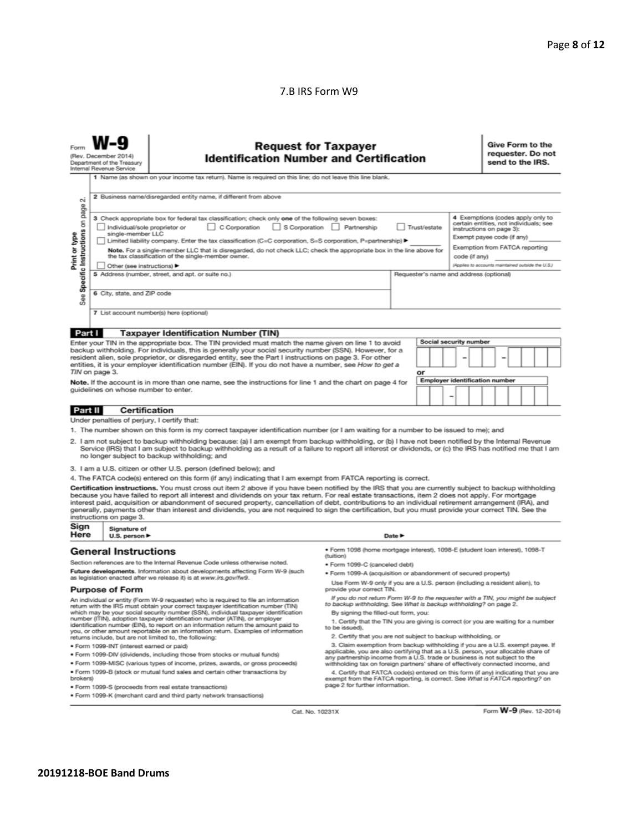#### 7.B IRS Form W9

| <b>Request for Taxpayer</b><br><b>Identification Number and Certification</b><br>(Rev. December 2014)<br>Department of the Treasury<br>Internal Revenue Service                                                                                                                                                                                                                                                                                                                                                                                                                                                                                          |                                                   |                                                                                                                                                                                                                                                                                                                                                                     |                                                                                                                                                                                              |                            |                                                                                                                                                                         | Give Form to the<br>requester. Do not<br>send to the IRS. |                                                   |  |  |
|----------------------------------------------------------------------------------------------------------------------------------------------------------------------------------------------------------------------------------------------------------------------------------------------------------------------------------------------------------------------------------------------------------------------------------------------------------------------------------------------------------------------------------------------------------------------------------------------------------------------------------------------------------|---------------------------------------------------|---------------------------------------------------------------------------------------------------------------------------------------------------------------------------------------------------------------------------------------------------------------------------------------------------------------------------------------------------------------------|----------------------------------------------------------------------------------------------------------------------------------------------------------------------------------------------|----------------------------|-------------------------------------------------------------------------------------------------------------------------------------------------------------------------|-----------------------------------------------------------|---------------------------------------------------|--|--|
|                                                                                                                                                                                                                                                                                                                                                                                                                                                                                                                                                                                                                                                          |                                                   | 1 Name (as shown on your income tax return). Name is required on this line; do not leave this line blank.                                                                                                                                                                                                                                                           |                                                                                                                                                                                              |                            |                                                                                                                                                                         |                                                           |                                                   |  |  |
| οû                                                                                                                                                                                                                                                                                                                                                                                                                                                                                                                                                                                                                                                       |                                                   | 2 Business name/disregarded entity name, if different from above                                                                                                                                                                                                                                                                                                    |                                                                                                                                                                                              |                            |                                                                                                                                                                         |                                                           |                                                   |  |  |
| Specific Instructions on page<br>3 Check appropriate box for federal tax classification; check only one of the following seven boxes:<br>C Corporation<br>S Corporation Partnership<br>Trust/estate<br>Individual/sole proprietor or<br>Print or type<br>single-member LLC<br>Limited liability company. Enter the tax classification (C=C corporation, S=S corporation, P=partnership) ▶<br>Note. For a single-member LLC that is disregarded, do not check LLC; check the appropriate box in the line above for                                                                                                                                        |                                                   |                                                                                                                                                                                                                                                                                                                                                                     |                                                                                                                                                                                              |                            | 4 Exemptions (codes apply only to<br>certain entities, not individuals; see<br>instructions on page 3):<br>Exempt payee code (if any)<br>Exemption from FATCA reporting |                                                           |                                                   |  |  |
|                                                                                                                                                                                                                                                                                                                                                                                                                                                                                                                                                                                                                                                          |                                                   | the tax classification of the single-member owner.                                                                                                                                                                                                                                                                                                                  |                                                                                                                                                                                              |                            |                                                                                                                                                                         | code (if any)                                             | (Applies to accounts maintained outside the U.S.) |  |  |
|                                                                                                                                                                                                                                                                                                                                                                                                                                                                                                                                                                                                                                                          | Other (see instructions)                          | 5 Address (number, street, and apt. or suite no.)                                                                                                                                                                                                                                                                                                                   |                                                                                                                                                                                              |                            |                                                                                                                                                                         | Requester's name and address (optional)                   |                                                   |  |  |
|                                                                                                                                                                                                                                                                                                                                                                                                                                                                                                                                                                                                                                                          |                                                   |                                                                                                                                                                                                                                                                                                                                                                     |                                                                                                                                                                                              |                            |                                                                                                                                                                         |                                                           |                                                   |  |  |
| See                                                                                                                                                                                                                                                                                                                                                                                                                                                                                                                                                                                                                                                      | 6 City, state, and ZIP code                       |                                                                                                                                                                                                                                                                                                                                                                     |                                                                                                                                                                                              |                            |                                                                                                                                                                         |                                                           |                                                   |  |  |
|                                                                                                                                                                                                                                                                                                                                                                                                                                                                                                                                                                                                                                                          |                                                   | 7 List account number(s) here (optional)                                                                                                                                                                                                                                                                                                                            |                                                                                                                                                                                              |                            |                                                                                                                                                                         |                                                           |                                                   |  |  |
| Part I                                                                                                                                                                                                                                                                                                                                                                                                                                                                                                                                                                                                                                                   |                                                   | <b>Taxpayer Identification Number (TIN)</b>                                                                                                                                                                                                                                                                                                                         |                                                                                                                                                                                              |                            |                                                                                                                                                                         |                                                           |                                                   |  |  |
|                                                                                                                                                                                                                                                                                                                                                                                                                                                                                                                                                                                                                                                          |                                                   | Enter your TIN in the appropriate box. The TIN provided must match the name given on line 1 to avoid                                                                                                                                                                                                                                                                |                                                                                                                                                                                              |                            |                                                                                                                                                                         | Social security number                                    |                                                   |  |  |
|                                                                                                                                                                                                                                                                                                                                                                                                                                                                                                                                                                                                                                                          |                                                   | backup withholding. For individuals, this is generally your social security number (SSN). However, for a<br>resident alien, sole proprietor, or disregarded entity, see the Part I instructions on page 3. For other<br>entities, it is your employer identification number (EIN). If you do not have a number, see How to get a                                    |                                                                                                                                                                                              |                            |                                                                                                                                                                         |                                                           |                                                   |  |  |
|                                                                                                                                                                                                                                                                                                                                                                                                                                                                                                                                                                                                                                                          | TIN on page 3.                                    |                                                                                                                                                                                                                                                                                                                                                                     |                                                                                                                                                                                              |                            | or                                                                                                                                                                      |                                                           |                                                   |  |  |
|                                                                                                                                                                                                                                                                                                                                                                                                                                                                                                                                                                                                                                                          | guidelines on whose number to enter.              | Note. If the account is in more than one name, see the instructions for line 1 and the chart on page 4 for                                                                                                                                                                                                                                                          |                                                                                                                                                                                              |                            |                                                                                                                                                                         | <b>Employer identification number</b>                     |                                                   |  |  |
|                                                                                                                                                                                                                                                                                                                                                                                                                                                                                                                                                                                                                                                          |                                                   |                                                                                                                                                                                                                                                                                                                                                                     |                                                                                                                                                                                              |                            |                                                                                                                                                                         |                                                           |                                                   |  |  |
| Part II                                                                                                                                                                                                                                                                                                                                                                                                                                                                                                                                                                                                                                                  | <b>Certification</b>                              |                                                                                                                                                                                                                                                                                                                                                                     |                                                                                                                                                                                              |                            |                                                                                                                                                                         |                                                           |                                                   |  |  |
|                                                                                                                                                                                                                                                                                                                                                                                                                                                                                                                                                                                                                                                          | Under penalties of perjury, I certify that:       |                                                                                                                                                                                                                                                                                                                                                                     |                                                                                                                                                                                              |                            |                                                                                                                                                                         |                                                           |                                                   |  |  |
|                                                                                                                                                                                                                                                                                                                                                                                                                                                                                                                                                                                                                                                          |                                                   | 1. The number shown on this form is my correct taxpayer identification number (or I am waiting for a number to be issued to me); and                                                                                                                                                                                                                                |                                                                                                                                                                                              |                            |                                                                                                                                                                         |                                                           |                                                   |  |  |
|                                                                                                                                                                                                                                                                                                                                                                                                                                                                                                                                                                                                                                                          |                                                   | 2. I am not subject to backup withholding because: (a) I am exempt from backup withholding, or (b) I have not been notified by the Internal Revenue<br>Service (IRS) that I am subject to backup withholding as a result of a failure to report all interest or dividends, or (c) the IRS has notified me that I am<br>no longer subject to backup withholding; and |                                                                                                                                                                                              |                            |                                                                                                                                                                         |                                                           |                                                   |  |  |
|                                                                                                                                                                                                                                                                                                                                                                                                                                                                                                                                                                                                                                                          |                                                   | 3. I am a U.S. citizen or other U.S. person (defined below); and                                                                                                                                                                                                                                                                                                    |                                                                                                                                                                                              |                            |                                                                                                                                                                         |                                                           |                                                   |  |  |
|                                                                                                                                                                                                                                                                                                                                                                                                                                                                                                                                                                                                                                                          |                                                   | 4. The FATCA code(s) entered on this form (if any) indicating that I am exempt from FATCA reporting is correct.                                                                                                                                                                                                                                                     |                                                                                                                                                                                              |                            |                                                                                                                                                                         |                                                           |                                                   |  |  |
| Certification instructions. You must cross out item 2 above if you have been notified by the IRS that you are currently subject to backup withholding<br>because you have failed to report all interest and dividends on your tax return. For real estate transactions, item 2 does not apply. For mortgage<br>interest paid, acquisition or abandonment of secured property, cancellation of debt, contributions to an individual retirement arrangement (IRA), and<br>generally, payments other than interest and dividends, you are not required to sign the certification, but you must provide your correct TIN. See the<br>instructions on page 3. |                                                   |                                                                                                                                                                                                                                                                                                                                                                     |                                                                                                                                                                                              |                            |                                                                                                                                                                         |                                                           |                                                   |  |  |
| Sign<br>Here                                                                                                                                                                                                                                                                                                                                                                                                                                                                                                                                                                                                                                             | Signature of<br>U.S. person $\blacktriangleright$ |                                                                                                                                                                                                                                                                                                                                                                     |                                                                                                                                                                                              | Date $\blacktriangleright$ |                                                                                                                                                                         |                                                           |                                                   |  |  |
|                                                                                                                                                                                                                                                                                                                                                                                                                                                                                                                                                                                                                                                          | <b>General Instructions</b>                       |                                                                                                                                                                                                                                                                                                                                                                     | · Form 1098 (home mortgage interest), 1098-E (student loan interest), 1098-T<br>(tuition)                                                                                                    |                            |                                                                                                                                                                         |                                                           |                                                   |  |  |
|                                                                                                                                                                                                                                                                                                                                                                                                                                                                                                                                                                                                                                                          |                                                   | Section references are to the Internal Revenue Code unless otherwise noted.<br>Future developments. Information about developments affecting Form W-9 (such                                                                                                                                                                                                         | · Form 1099-C (canceled debt)                                                                                                                                                                |                            |                                                                                                                                                                         |                                                           |                                                   |  |  |
|                                                                                                                                                                                                                                                                                                                                                                                                                                                                                                                                                                                                                                                          |                                                   | as legislation enacted after we release it) is at www.irs.gov/fw9.                                                                                                                                                                                                                                                                                                  | . Form 1099-A (acquisition or abandonment of secured property)<br>Use Form W-9 only if you are a U.S. person (including a resident alien), to                                                |                            |                                                                                                                                                                         |                                                           |                                                   |  |  |
|                                                                                                                                                                                                                                                                                                                                                                                                                                                                                                                                                                                                                                                          | <b>Purpose of Form</b>                            |                                                                                                                                                                                                                                                                                                                                                                     | provide your correct TIN.                                                                                                                                                                    |                            |                                                                                                                                                                         |                                                           |                                                   |  |  |
|                                                                                                                                                                                                                                                                                                                                                                                                                                                                                                                                                                                                                                                          |                                                   | An individual or entity (Form W-9 requester) who is required to file an information<br>return with the IRS must obtain your correct taxpayer identification number (TIN)<br>which may be your social security number (SSN), individual taxpayer identification                                                                                                      | If you do not return Form W-9 to the requester with a TIN, you might be subject<br>to backup withholding. See What is backup withholding? on page 2.<br>By signing the filled-out form, you: |                            |                                                                                                                                                                         |                                                           |                                                   |  |  |
|                                                                                                                                                                                                                                                                                                                                                                                                                                                                                                                                                                                                                                                          |                                                   | number (ITIN), adoption taxpayer identification number (ATIN), or employer<br>identification number (EIN), to report on an information return the amount paid to                                                                                                                                                                                                    | 1. Certify that the TIN you are giving is correct (or you are waiting for a number                                                                                                           |                            |                                                                                                                                                                         |                                                           |                                                   |  |  |
|                                                                                                                                                                                                                                                                                                                                                                                                                                                                                                                                                                                                                                                          |                                                   | you, or other amount reportable on an information return. Examples of information                                                                                                                                                                                                                                                                                   | to be issued).<br>2. Certify that you are not subject to backup withholding, or                                                                                                              |                            |                                                                                                                                                                         |                                                           |                                                   |  |  |
|                                                                                                                                                                                                                                                                                                                                                                                                                                                                                                                                                                                                                                                          | · Form 1099-INT (interest earned or paid)         | returns include, but are not limited to, the following:                                                                                                                                                                                                                                                                                                             | 3. Claim exemption from backup withholding if you are a U.S. exempt payee. If                                                                                                                |                            |                                                                                                                                                                         |                                                           |                                                   |  |  |
|                                                                                                                                                                                                                                                                                                                                                                                                                                                                                                                                                                                                                                                          |                                                   | . Form 1099-DIV (dividends, including those from stocks or mutual funds)                                                                                                                                                                                                                                                                                            | applicable, you are also certifying that as a U.S. person, your allocable share of<br>any partnership income from a U.S. trade or business is not subject to the                             |                            |                                                                                                                                                                         |                                                           |                                                   |  |  |
|                                                                                                                                                                                                                                                                                                                                                                                                                                                                                                                                                                                                                                                          |                                                   | . Form 1099-MISC (various types of income, prizes, awards, or gross proceeds)                                                                                                                                                                                                                                                                                       | withholding tax on foreign partners' share of effectively connected income, and                                                                                                              |                            |                                                                                                                                                                         |                                                           |                                                   |  |  |
| . Form 1099-B (stock or mutual fund sales and certain other transactions by<br>4. Certify that FATCA code(s) entered on this form (if any) indicating that you are<br>brokers)<br>exempt from the FATCA reporting, is correct. See What is FATCA reporting? on                                                                                                                                                                                                                                                                                                                                                                                           |                                                   |                                                                                                                                                                                                                                                                                                                                                                     |                                                                                                                                                                                              |                            |                                                                                                                                                                         |                                                           |                                                   |  |  |

exempt from the FATCA reporting, is correct. See What is FATCA reporting? on<br>page 2 for further information.

Cat. No. 10231X

Form **W-9** (Rev. 12-2014)

· Form 1099-S (proceeds from real estate transactions) · Form 1099-K (merchant card and third party network transactions)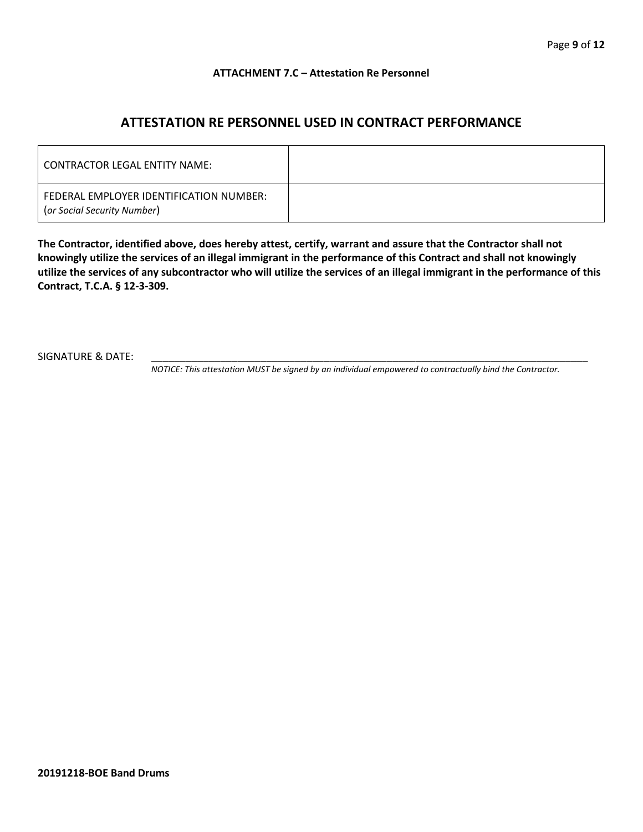#### **ATTACHMENT 7.C – Attestation Re Personnel**

## **ATTESTATION RE PERSONNEL USED IN CONTRACT PERFORMANCE**

| CONTRACTOR LEGAL ENTITY NAME:                                          |  |
|------------------------------------------------------------------------|--|
| FEDERAL EMPLOYER IDENTIFICATION NUMBER:<br>(or Social Security Number) |  |

**The Contractor, identified above, does hereby attest, certify, warrant and assure that the Contractor shall not knowingly utilize the services of an illegal immigrant in the performance of this Contract and shall not knowingly utilize the services of any subcontractor who will utilize the services of an illegal immigrant in the performance of this Contract, T.C.A. § 12-3-309.**

SIGNATURE & DATE:

*NOTICE: This attestation MUST be signed by an individual empowered to contractually bind the Contractor.*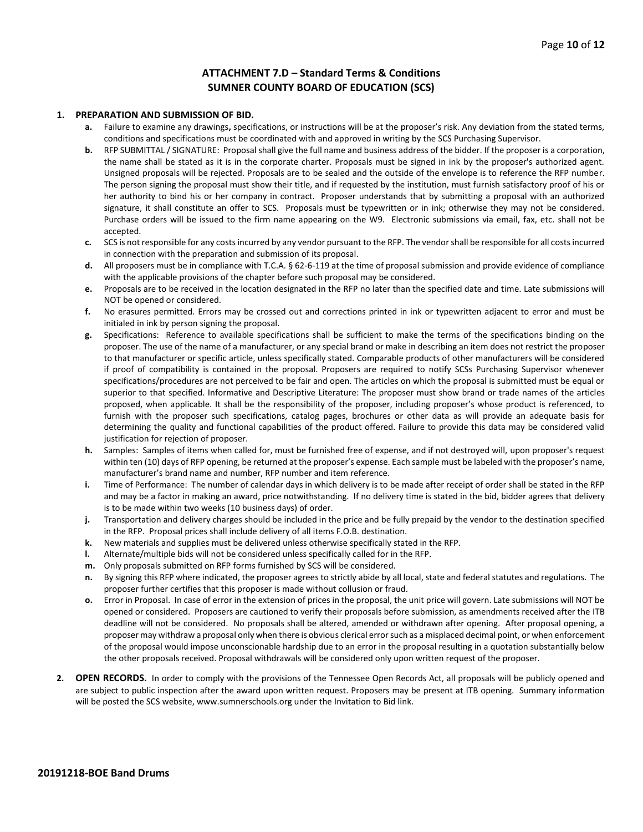#### **ATTACHMENT 7.D – Standard Terms & Conditions SUMNER COUNTY BOARD OF EDUCATION (SCS)**

#### **1. PREPARATION AND SUBMISSION OF BID.**

- **a.** Failure to examine any drawings**,** specifications, or instructions will be at the proposer's risk. Any deviation from the stated terms, conditions and specifications must be coordinated with and approved in writing by the SCS Purchasing Supervisor.
- **b.** RFP SUBMITTAL / SIGNATURE: Proposal shall give the full name and business address of the bidder. If the proposer is a corporation, the name shall be stated as it is in the corporate charter. Proposals must be signed in ink by the proposer's authorized agent. Unsigned proposals will be rejected. Proposals are to be sealed and the outside of the envelope is to reference the RFP number. The person signing the proposal must show their title, and if requested by the institution, must furnish satisfactory proof of his or her authority to bind his or her company in contract. Proposer understands that by submitting a proposal with an authorized signature, it shall constitute an offer to SCS. Proposals must be typewritten or in ink; otherwise they may not be considered. Purchase orders will be issued to the firm name appearing on the W9. Electronic submissions via email, fax, etc. shall not be accepted.
- **c.** SCS is not responsible for any costs incurred by any vendor pursuant to the RFP. The vendor shall be responsible for all costs incurred in connection with the preparation and submission of its proposal.
- **d.** All proposers must be in compliance with T.C.A. § 62-6-119 at the time of proposal submission and provide evidence of compliance with the applicable provisions of the chapter before such proposal may be considered.
- **e.** Proposals are to be received in the location designated in the RFP no later than the specified date and time. Late submissions will NOT be opened or considered.
- **f.** No erasures permitted. Errors may be crossed out and corrections printed in ink or typewritten adjacent to error and must be initialed in ink by person signing the proposal.
- **g.** Specifications: Reference to available specifications shall be sufficient to make the terms of the specifications binding on the proposer. The use of the name of a manufacturer, or any special brand or make in describing an item does not restrict the proposer to that manufacturer or specific article, unless specifically stated. Comparable products of other manufacturers will be considered if proof of compatibility is contained in the proposal. Proposers are required to notify SCSs Purchasing Supervisor whenever specifications/procedures are not perceived to be fair and open. The articles on which the proposal is submitted must be equal or superior to that specified. Informative and Descriptive Literature: The proposer must show brand or trade names of the articles proposed, when applicable. It shall be the responsibility of the proposer, including proposer's whose product is referenced, to furnish with the proposer such specifications, catalog pages, brochures or other data as will provide an adequate basis for determining the quality and functional capabilities of the product offered. Failure to provide this data may be considered valid justification for rejection of proposer.
- **h.** Samples: Samples of items when called for, must be furnished free of expense, and if not destroyed will, upon proposer's request within ten (10) days of RFP opening, be returned at the proposer's expense. Each sample must be labeled with the proposer's name, manufacturer's brand name and number, RFP number and item reference.
- **i.** Time of Performance: The number of calendar days in which delivery is to be made after receipt of order shall be stated in the RFP and may be a factor in making an award, price notwithstanding. If no delivery time is stated in the bid, bidder agrees that delivery is to be made within two weeks (10 business days) of order.
- **j.** Transportation and delivery charges should be included in the price and be fully prepaid by the vendor to the destination specified in the RFP. Proposal prices shall include delivery of all items F.O.B. destination.
- **k.** New materials and supplies must be delivered unless otherwise specifically stated in the RFP.
- **l.** Alternate/multiple bids will not be considered unless specifically called for in the RFP.
- **m.** Only proposals submitted on RFP forms furnished by SCS will be considered.
- **n.** By signing this RFP where indicated, the proposer agrees to strictly abide by all local, state and federal statutes and regulations. The proposer further certifies that this proposer is made without collusion or fraud.
- **o.** Error in Proposal. In case of error in the extension of prices in the proposal, the unit price will govern. Late submissions will NOT be opened or considered. Proposers are cautioned to verify their proposals before submission, as amendments received after the ITB deadline will not be considered. No proposals shall be altered, amended or withdrawn after opening. After proposal opening, a proposer may withdraw a proposal only when there is obvious clerical error such as a misplaced decimal point, or when enforcement of the proposal would impose unconscionable hardship due to an error in the proposal resulting in a quotation substantially below the other proposals received. Proposal withdrawals will be considered only upon written request of the proposer.
- **2. OPEN RECORDS.** In order to comply with the provisions of the Tennessee Open Records Act, all proposals will be publicly opened and are subject to public inspection after the award upon written request. Proposers may be present at ITB opening. Summary information will be posted the SCS website, www.sumnerschools.org under the Invitation to Bid link.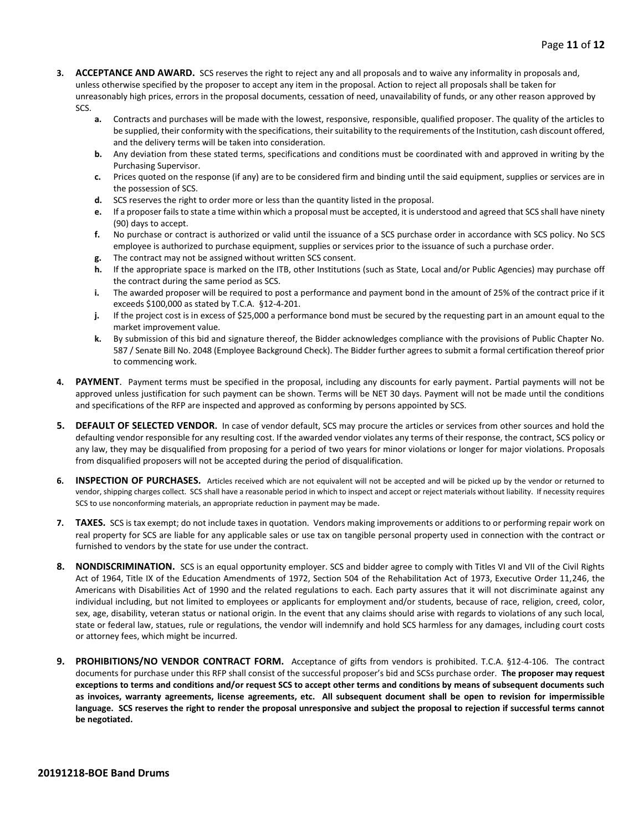- **3. ACCEPTANCE AND AWARD.** SCS reserves the right to reject any and all proposals and to waive any informality in proposals and, unless otherwise specified by the proposer to accept any item in the proposal. Action to reject all proposals shall be taken for unreasonably high prices, errors in the proposal documents, cessation of need, unavailability of funds, or any other reason approved by SCS.
	- **a.** Contracts and purchases will be made with the lowest, responsive, responsible, qualified proposer. The quality of the articles to be supplied, their conformity with the specifications, their suitability to the requirements of the Institution, cash discount offered, and the delivery terms will be taken into consideration.
	- **b.** Any deviation from these stated terms, specifications and conditions must be coordinated with and approved in writing by the Purchasing Supervisor.
	- **c.** Prices quoted on the response (if any) are to be considered firm and binding until the said equipment, supplies or services are in the possession of SCS.
	- **d.** SCS reserves the right to order more or less than the quantity listed in the proposal.
	- **e.** If a proposer fails to state a time within which a proposal must be accepted, it is understood and agreed that SCS shall have ninety (90) days to accept.
	- **f.** No purchase or contract is authorized or valid until the issuance of a SCS purchase order in accordance with SCS policy. No SCS employee is authorized to purchase equipment, supplies or services prior to the issuance of such a purchase order.
	- **g.** The contract may not be assigned without written SCS consent.
	- **h.** If the appropriate space is marked on the ITB, other Institutions (such as State, Local and/or Public Agencies) may purchase off the contract during the same period as SCS.
	- **i.** The awarded proposer will be required to post a performance and payment bond in the amount of 25% of the contract price if it exceeds \$100,000 as stated by T.C.A. §12-4-201.
	- **j.** If the project cost is in excess of \$25,000 a performance bond must be secured by the requesting part in an amount equal to the market improvement value.
	- **k.** By submission of this bid and signature thereof, the Bidder acknowledges compliance with the provisions of Public Chapter No. 587 / Senate Bill No. 2048 (Employee Background Check). The Bidder further agrees to submit a formal certification thereof prior to commencing work.
- **4. PAYMENT**. Payment terms must be specified in the proposal, including any discounts for early payment. Partial payments will not be approved unless justification for such payment can be shown. Terms will be NET 30 days. Payment will not be made until the conditions and specifications of the RFP are inspected and approved as conforming by persons appointed by SCS.
- **5. DEFAULT OF SELECTED VENDOR.** In case of vendor default, SCS may procure the articles or services from other sources and hold the defaulting vendor responsible for any resulting cost. If the awarded vendor violates any terms of their response, the contract, SCS policy or any law, they may be disqualified from proposing for a period of two years for minor violations or longer for major violations. Proposals from disqualified proposers will not be accepted during the period of disqualification.
- **6. INSPECTION OF PURCHASES.** Articles received which are not equivalent will not be accepted and will be picked up by the vendor or returned to vendor, shipping charges collect. SCS shall have a reasonable period in which to inspect and accept or reject materials without liability. If necessity requires SCS to use nonconforming materials, an appropriate reduction in payment may be made.
- **7. TAXES.** SCS is tax exempt; do not include taxes in quotation. Vendors making improvements or additions to or performing repair work on real property for SCS are liable for any applicable sales or use tax on tangible personal property used in connection with the contract or furnished to vendors by the state for use under the contract.
- **8. NONDISCRIMINATION.** SCS is an equal opportunity employer. SCS and bidder agree to comply with Titles VI and VII of the Civil Rights Act of 1964, Title IX of the Education Amendments of 1972, Section 504 of the Rehabilitation Act of 1973, Executive Order 11,246, the Americans with Disabilities Act of 1990 and the related regulations to each. Each party assures that it will not discriminate against any individual including, but not limited to employees or applicants for employment and/or students, because of race, religion, creed, color, sex, age, disability, veteran status or national origin. In the event that any claims should arise with regards to violations of any such local, state or federal law, statues, rule or regulations, the vendor will indemnify and hold SCS harmless for any damages, including court costs or attorney fees, which might be incurred.
- **9. PROHIBITIONS/NO VENDOR CONTRACT FORM.** Acceptance of gifts from vendors is prohibited. T.C.A. §12-4-106. The contract documents for purchase under this RFP shall consist of the successful proposer's bid and SCSs purchase order. **The proposer may request exceptions to terms and conditions and/or request SCS to accept other terms and conditions by means of subsequent documents such as invoices, warranty agreements, license agreements, etc. All subsequent document shall be open to revision for impermissible language. SCS reserves the right to render the proposal unresponsive and subject the proposal to rejection if successful terms cannot be negotiated.**